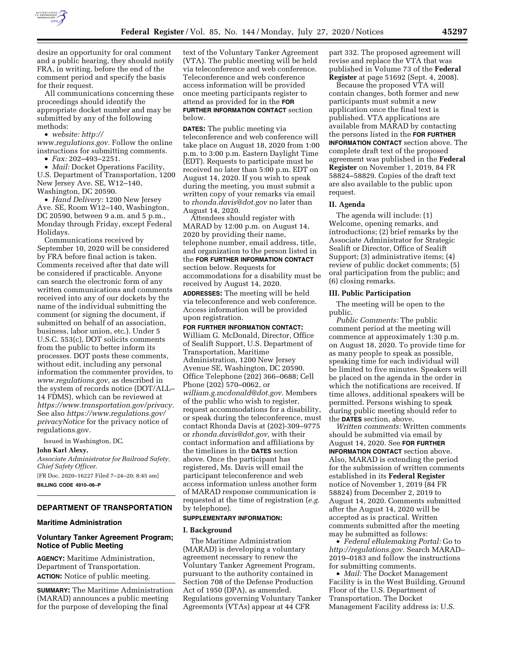

desire an opportunity for oral comment and a public hearing, they should notify FRA, in writing, before the end of the comment period and specify the basis for their request.

All communications concerning these proceedings should identify the appropriate docket number and may be submitted by any of the following methods:

• *website: [http://](http://www.regulations.gov)*

*[www.regulations.gov.](http://www.regulations.gov)* Follow the online instructions for submitting comments.

• *Fax:* 202–493–2251.

• *Mail:* Docket Operations Facility, U.S. Department of Transportation, 1200 New Jersey Ave. SE, W12–140, Washington, DC 20590.

• *Hand Delivery:* 1200 New Jersey Ave. SE, Room W12–140, Washington, DC 20590, between 9 a.m. and 5 p.m., Monday through Friday, except Federal Holidays.

Communications received by September 10, 2020 will be considered by FRA before final action is taken. Comments received after that date will be considered if practicable. Anyone can search the electronic form of any written communications and comments received into any of our dockets by the name of the individual submitting the comment (or signing the document, if submitted on behalf of an association, business, labor union, etc.). Under 5 U.S.C. 553(c), DOT solicits comments from the public to better inform its processes. DOT posts these comments, without edit, including any personal information the commenter provides, to *[www.regulations.gov,](http://www.regulations.gov)* as described in the system of records notice (DOT/ALL– 14 FDMS), which can be reviewed at *[https://www.transportation.gov/privacy.](https://www.transportation.gov/privacy)*  See also *[https://www.regulations.gov/](https://www.regulations.gov/privacyNotice)  [privacyNotice](https://www.regulations.gov/privacyNotice)* for the privacy notice of regulations.gov.

Issued in Washington, DC.

### **John Karl Alexy,**

*Associate Administrator for Railroad Safety, Chief Safety Officer.*  [FR Doc. 2020–16227 Filed 7–24–20; 8:45 am]

**BILLING CODE 4910–06–P** 

# **DEPARTMENT OF TRANSPORTATION**

### **Maritime Administration**

## **Voluntary Tanker Agreement Program; Notice of Public Meeting**

**AGENCY:** Maritime Administration, Department of Transportation. **ACTION:** Notice of public meeting.

**SUMMARY:** The Maritime Administration (MARAD) announces a public meeting for the purpose of developing the final

text of the Voluntary Tanker Agreement (VTA). The public meeting will be held via teleconference and web conference. Teleconference and web conference access information will be provided once meeting participants register to attend as provided for in the **FOR FURTHER INFORMATION CONTACT** section below.

**DATES:** The public meeting via teleconference and web conference will take place on August 18, 2020 from 1:00 p.m. to 3:00 p.m. Eastern Daylight Time (EDT). Requests to participate must be received no later than 5:00 p.m. EDT on August 14, 2020. If you wish to speak during the meeting, you must submit a written copy of your remarks via email to *[rhonda.davis@dot.gov](mailto:rhonda.davis@dot.gov)* no later than August 14, 2020.

Attendees should register with MARAD by 12:00 p.m. on August 14, 2020 by providing their name, telephone number, email address, title, and organization to the person listed in the **FOR FURTHER INFORMATION CONTACT** section below. Requests for accommodations for a disability must be received by August 14, 2020. **ADDRESSES:** The meeting will be held via teleconference and web conference. Access information will be provided

upon registration. **FOR FURTHER INFORMATION CONTACT:** 

William G. McDonald, Director, Office of Sealift Support, U.S. Department of Transportation, Maritime Administration, 1200 New Jersey Avenue SE, Washington, DC 20590. Office Telephone (202) 366–0688; Cell Phone (202) 570–0062, or *[william.g.mcdonald@dot.gov.](mailto:william.g.mcdonald@dot.gov)* Members of the public who wish to register, request accommodations for a disability, or speak during the teleconference, must contact Rhonda Davis at (202)-309–9775 or *[rhonda.davis@dot.gov,](mailto:rhonda.davis@dot.gov)* with their contact information and affiliations by the timelines in the **DATES** section above. Once the participant has registered, Ms. Davis will email the participant teleconference and web access information unless another form of MARAD response communication is requested at the time of registration (*e.g.*  by telephone).

### **SUPPLEMENTARY INFORMATION:**

### **I. Background**

The Maritime Administration (MARAD) is developing a voluntary agreement necessary to renew the Voluntary Tanker Agreement Program, pursuant to the authority contained in Section 708 of the Defense Production Act of 1950 (DPA), as amended. Regulations governing Voluntary Tanker Agreements (VTAs) appear at 44 CFR

part 332. The proposed agreement will revise and replace the VTA that was published in Volume 73 of the **Federal Register** at page 51692 (Sept. 4, 2008).

Because the proposed VTA will contain changes, both former and new participants must submit a new application once the final text is published. VTA applications are available from MARAD by contacting the persons listed in the **FOR FURTHER INFORMATION CONTACT** section above. The complete draft text of the proposed agreement was published in the **Federal Register** on November 1, 2019, 84 FR 58824–58829. Copies of the draft text are also available to the public upon request.

### **II. Agenda**

The agenda will include: (1) Welcome, opening remarks, and introductions; (2) brief remarks by the Associate Administrator for Strategic Sealift or Director, Office of Sealift Support; (3) administrative items; (4) review of public docket comments; (5) oral participation from the public; and (6) closing remarks.

### **III. Public Participation**

The meeting will be open to the public.

*Public Comments:* The public comment period at the meeting will commence at approximately 1:30 p.m. on August 18, 2020. To provide time for as many people to speak as possible, speaking time for each individual will be limited to five minutes. Speakers will be placed on the agenda in the order in which the notifications are received. If time allows, additional speakers will be permitted. Persons wishing to speak during public meeting should refer to the **DATES** section, above.

*Written comments:* Written comments should be submitted via email by August 14, 2020. See **FOR FURTHER INFORMATION CONTACT** section above. Also, MARAD is extending the period for the submission of written comments established in its **Federal Register**  notice of November 1, 2019 (84 FR 58824) from December 2, 2019 to August 14, 2020. Comments submitted after the August 14, 2020 will be accepted as is practical. Written comments submitted after the meeting may be submitted as follows:

• *Federal eRulemaking Portal:* Go to *[http://regulations.gov.](http://regulations.gov)* Search MARAD– 2019–0183 and follow the instructions for submitting comments.

• *Mail:* The Docket Management Facility is in the West Building, Ground Floor of the U.S. Department of Transportation. The Docket Management Facility address is: U.S.